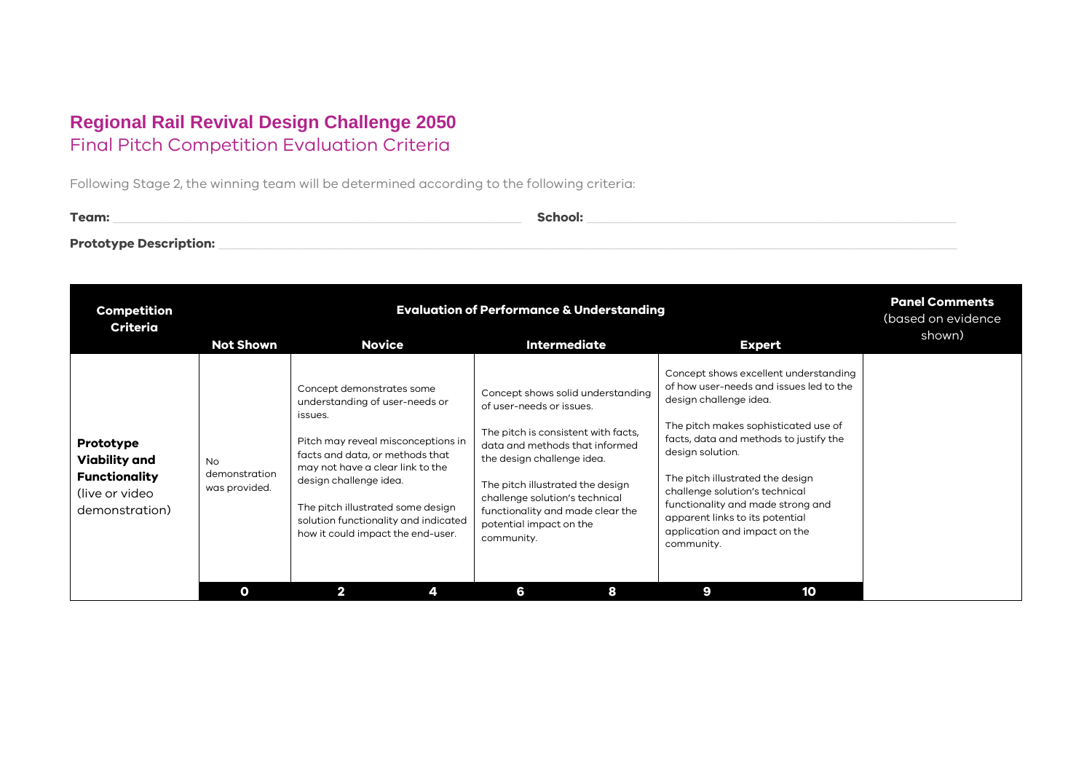## **Regional Rail Revival Design Challenge 2050** Final Pitch Competition Evaluation Criteria

Following Stage 2, the winning team will be determined according to the following criteria:

| Team:                         | School: |
|-------------------------------|---------|
| <b>Prototype Description:</b> |         |

| <b>Competition</b><br><b>Criteria</b>                                                   | <b>Evaluation of Performance &amp; Understanding</b> |                                                                                                                                                                                                                                                                                                                                 |                                                                                                                                                                                                                                                                                                                         |                                                                                                                                                                                                                                                                                                                                                                                                               | <b>Panel Comments</b><br>(based on evidence<br>shown) |
|-----------------------------------------------------------------------------------------|------------------------------------------------------|---------------------------------------------------------------------------------------------------------------------------------------------------------------------------------------------------------------------------------------------------------------------------------------------------------------------------------|-------------------------------------------------------------------------------------------------------------------------------------------------------------------------------------------------------------------------------------------------------------------------------------------------------------------------|---------------------------------------------------------------------------------------------------------------------------------------------------------------------------------------------------------------------------------------------------------------------------------------------------------------------------------------------------------------------------------------------------------------|-------------------------------------------------------|
|                                                                                         | <b>Not Shown</b>                                     | <b>Novice</b>                                                                                                                                                                                                                                                                                                                   | <b>Intermediate</b>                                                                                                                                                                                                                                                                                                     | <b>Expert</b>                                                                                                                                                                                                                                                                                                                                                                                                 |                                                       |
| Prototype<br>Viability and<br><b>Functionality</b><br>(live or video)<br>demonstration) | <b>No</b><br>demonstration<br>was provided.          | Concept demonstrates some<br>understanding of user-needs or<br>issues.<br>Pitch may reveal misconceptions in<br>facts and data, or methods that<br>may not have a clear link to the<br>design challenge idea.<br>The pitch illustrated some design<br>solution functionality and indicated<br>how it could impact the end-user. | Concept shows solid understanding<br>of user-needs or issues.<br>The pitch is consistent with facts,<br>data and methods that informed<br>the design challenge idea.<br>The pitch illustrated the design<br>challenge solution's technical<br>functionality and made clear the<br>potential impact on the<br>community. | Concept shows excellent understanding<br>of how user-needs and issues led to the<br>design challenge idea.<br>The pitch makes sophisticated use of<br>facts, data and methods to justify the<br>design solution.<br>The pitch illustrated the design<br>challenge solution's technical<br>functionality and made strong and<br>apparent links to its potential<br>application and impact on the<br>community. |                                                       |
|                                                                                         | O                                                    | $\mathbf{2}$                                                                                                                                                                                                                                                                                                                    | 6<br>8                                                                                                                                                                                                                                                                                                                  | 9<br>10                                                                                                                                                                                                                                                                                                                                                                                                       |                                                       |